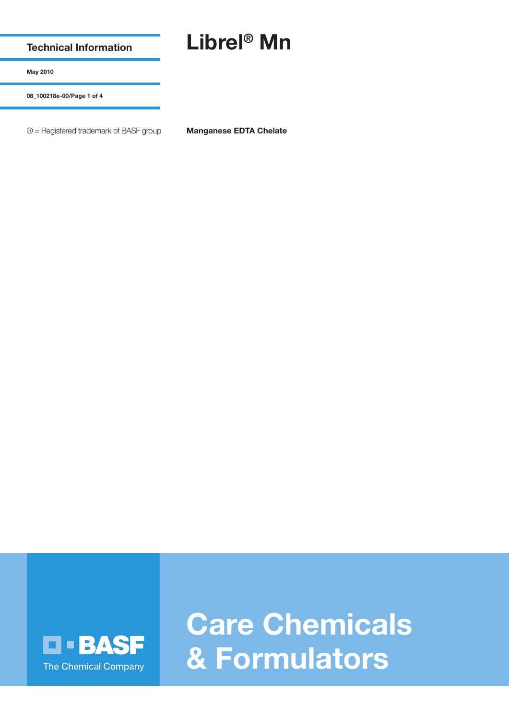**Technical Information**

## **Librel® Mn**

**May 2010**

**08\_100218e-00/Page 1 of 4**

® = Registered trademark of BASF group **Manganese EDTA Chelate**



**Care Chemicals & Formulators**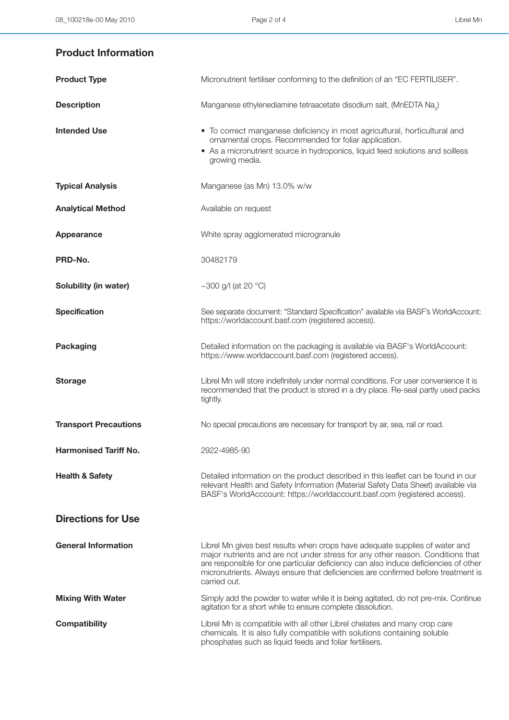## **Product Information**

| <b>Product Type</b>          | Micronutrient fertiliser conforming to the definition of an "EC FERTILISER".                                                                                                                                                                                                                                                                              |
|------------------------------|-----------------------------------------------------------------------------------------------------------------------------------------------------------------------------------------------------------------------------------------------------------------------------------------------------------------------------------------------------------|
| <b>Description</b>           | Manganese ethylenediamine tetraacetate disodium salt, (MnEDTA Na <sub>2</sub> )                                                                                                                                                                                                                                                                           |
| <b>Intended Use</b>          | • To correct manganese deficiency in most agricultural, horticultural and<br>ornamental crops. Recommended for foliar application.<br>• As a micronutrient source in hydroponics, liquid feed solutions and soilless<br>growing media.                                                                                                                    |
| <b>Typical Analysis</b>      | Manganese (as Mn) 13.0% w/w                                                                                                                                                                                                                                                                                                                               |
| <b>Analytical Method</b>     | Available on request                                                                                                                                                                                                                                                                                                                                      |
| Appearance                   | White spray agglomerated microgranule                                                                                                                                                                                                                                                                                                                     |
| PRD-No.                      | 30482179                                                                                                                                                                                                                                                                                                                                                  |
| Solubility (in water)        | ~300 g/l (at 20 $^{\circ}$ C)                                                                                                                                                                                                                                                                                                                             |
| <b>Specification</b>         | See separate document: "Standard Specification" available via BASF's WorldAccount:<br>https://worldaccount.basf.com (registered access).                                                                                                                                                                                                                  |
| <b>Packaging</b>             | Detailed information on the packaging is available via BASF's WorldAccount:<br>https://www.worldaccount.basf.com (registered access).                                                                                                                                                                                                                     |
| <b>Storage</b>               | Librel Mn will store indefinitely under normal conditions. For user convenience it is<br>recommended that the product is stored in a dry place. Re-seal partly used packs<br>tightly.                                                                                                                                                                     |
| <b>Transport Precautions</b> | No special precautions are necessary for transport by air, sea, rail or road.                                                                                                                                                                                                                                                                             |
| <b>Harmonised Tariff No.</b> | 2922-4985-90                                                                                                                                                                                                                                                                                                                                              |
| <b>Health &amp; Safety</b>   | Detailed information on the product described in this leaflet can be found in our<br>relevant Health and Safety Information (Material Safety Data Sheet) available via<br>BASF's WorldAcccount: https://worldaccount.basf.com (registered access).                                                                                                        |
| <b>Directions for Use</b>    |                                                                                                                                                                                                                                                                                                                                                           |
| <b>General Information</b>   | Librel Mn gives best results when crops have adequate supplies of water and<br>major nutrients and are not under stress for any other reason. Conditions that<br>are responsible for one particular deficiency can also induce deficiencies of other<br>micronutrients. Always ensure that deficiencies are confirmed before treatment is<br>carried out. |
| <b>Mixing With Water</b>     | Simply add the powder to water while it is being agitated, do not pre-mix. Continue<br>agitation for a short while to ensure complete dissolution.                                                                                                                                                                                                        |
| <b>Compatibility</b>         | Librel Mn is compatible with all other Librel chelates and many crop care<br>chemicals. It is also fully compatible with solutions containing soluble<br>phosphates such as liquid feeds and foliar fertilisers.                                                                                                                                          |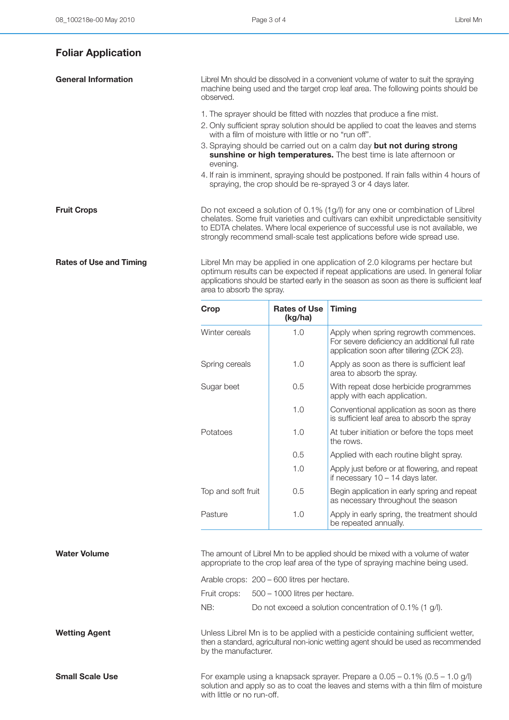## **Foliar Application**

**General Information Librel Mn should be dissolved in a convenient volume of water to suit the spraying** machine being used and the target crop leaf area. The following points should be observed. 1. The sprayer should be fitted with nozzles that produce a fine mist. 2. Only sufficient spray solution should be applied to coat the leaves and stems with a film of moisture with little or no "run off". 3. Spraying should be carried out on a calm day **but not during strong sunshine or high temperatures.** The best time is late afternoon or evening. 4. If rain is imminent, spraying should be postponed. If rain falls within 4 hours of spraying, the crop should be re-sprayed 3 or 4 days later. **Fruit Crops** Do not exceed a solution of 0.1% (1g/l) for any one or combination of Librel chelates. Some fruit varieties and cultivars can exhibit unpredictable sensitivity to EDTA chelates. Where local experience of successful use is not available, we strongly recommend small-scale test applications before wide spread use.

**Rates of Use and Timing** Librel Mn may be applied in one application of 2.0 kilograms per hectare but optimum results can be expected if repeat applications are used. In general foliar applications should be started early in the season as soon as there is sufficient leaf area to absorb the spray.

| Crop               | <b>Rates of Use</b><br>(kg/ha) | <b>Timing</b>                                                                                                                        |
|--------------------|--------------------------------|--------------------------------------------------------------------------------------------------------------------------------------|
| Winter cereals     | 1.0                            | Apply when spring regrowth commences.<br>For severe deficiency an additional full rate<br>application soon after tillering (ZCK 23). |
| Spring cereals     | 1.0                            | Apply as soon as there is sufficient leaf<br>area to absorb the spray.                                                               |
| Sugar beet         | 0.5                            | With repeat dose herbicide programmes<br>apply with each application.                                                                |
|                    | 1.0                            | Conventional application as soon as there<br>is sufficient leaf area to absorb the spray                                             |
| Potatoes           | 1.0                            | At tuber initiation or before the tops meet<br>the rows.                                                                             |
|                    | 0.5                            | Applied with each routine blight spray.                                                                                              |
|                    | 1.0                            | Apply just before or at flowering, and repeat<br>if necessary $10 - 14$ days later.                                                  |
| Top and soft fruit | 0.5                            | Begin application in early spring and repeat<br>as necessary throughout the season                                                   |
| Pasture            | 1.0                            | Apply in early spring, the treatment should<br>be repeated annually.                                                                 |

**Water Volume** The amount of Librel Mn to be applied should be mixed with a volume of water appropriate to the crop leaf area of the type of spraying machine being used.

|     | Arable crops: 200 – 600 litres per hectare.                |
|-----|------------------------------------------------------------|
|     | Fruit crops: 500 – 1000 litres per hectare.                |
| NB: | Do not exceed a solution concentration of 0.1% (1 $q/l$ ). |

**Wetting Agent** Muless Librel Mn is to be applied with a pesticide containing sufficient wetter, then a standard, agricultural non-ionic wetting agent should be used as recommended by the manufacturer.

**Small Scale Use** For example using a knapsack sprayer. Prepare a 0.05 – 0.1% (0.5 – 1.0 g/l) solution and apply so as to coat the leaves and stems with a thin film of moisture with little or no run-off.